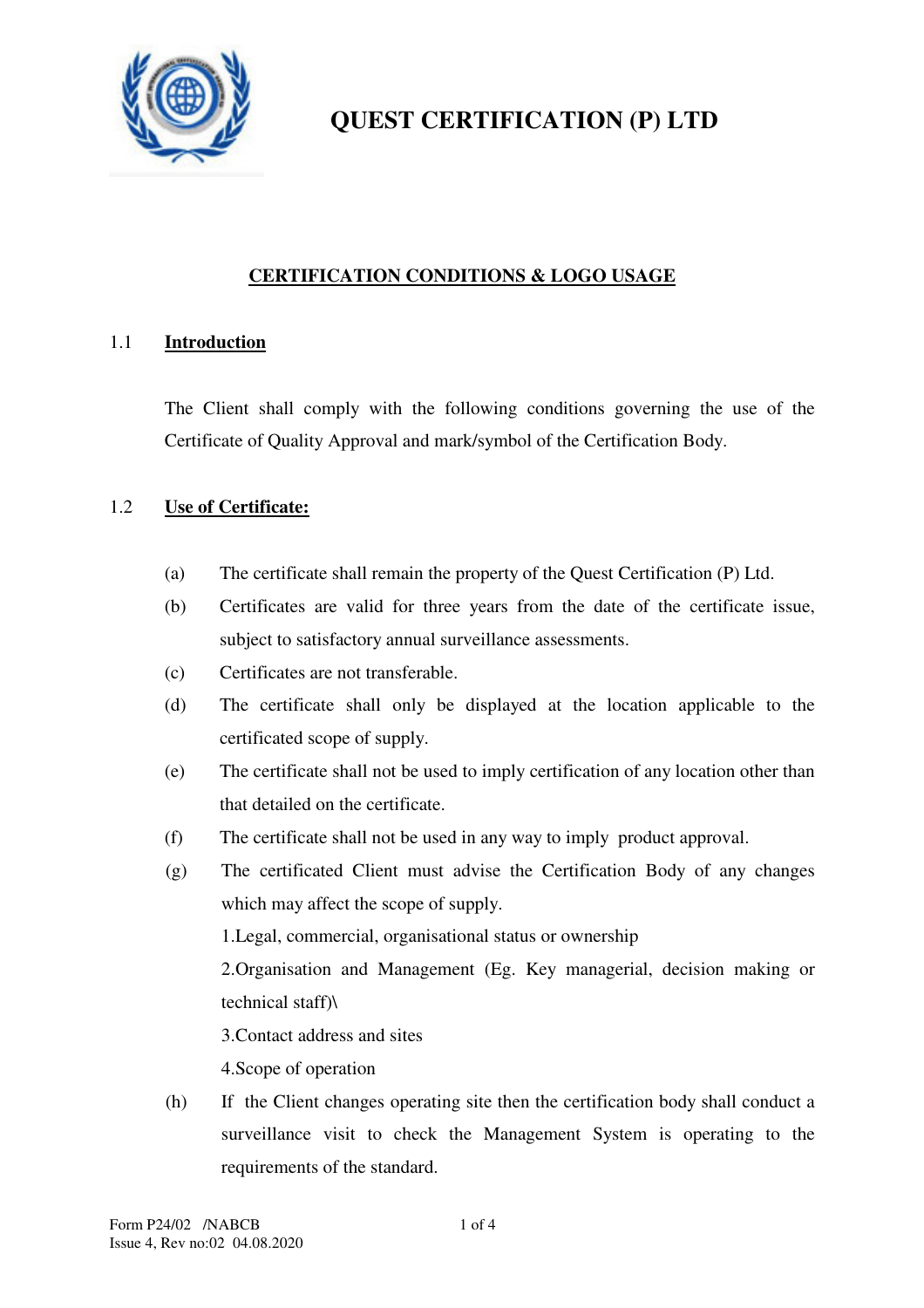

## **CERTIFICATION CONDITIONS & LOGO USAGE**

#### 1.1 **Introduction**

 The Client shall comply with the following conditions governing the use of the Certificate of Quality Approval and mark/symbol of the Certification Body.

#### 1.2 **Use of Certificate:**

- (a) The certificate shall remain the property of the Quest Certification (P) Ltd.
- (b) Certificates are valid for three years from the date of the certificate issue, subject to satisfactory annual surveillance assessments.
- (c) Certificates are not transferable.
- (d) The certificate shall only be displayed at the location applicable to the certificated scope of supply.
- (e) The certificate shall not be used to imply certification of any location other than that detailed on the certificate.
- (f) The certificate shall not be used in any way to imply product approval.
- (g) The certificated Client must advise the Certification Body of any changes which may affect the scope of supply.

1.Legal, commercial, organisational status or ownership

2.Organisation and Management (Eg. Key managerial, decision making or technical staff)\

3.Contact address and sites

4.Scope of operation

(h) If the Client changes operating site then the certification body shall conduct a surveillance visit to check the Management System is operating to the requirements of the standard.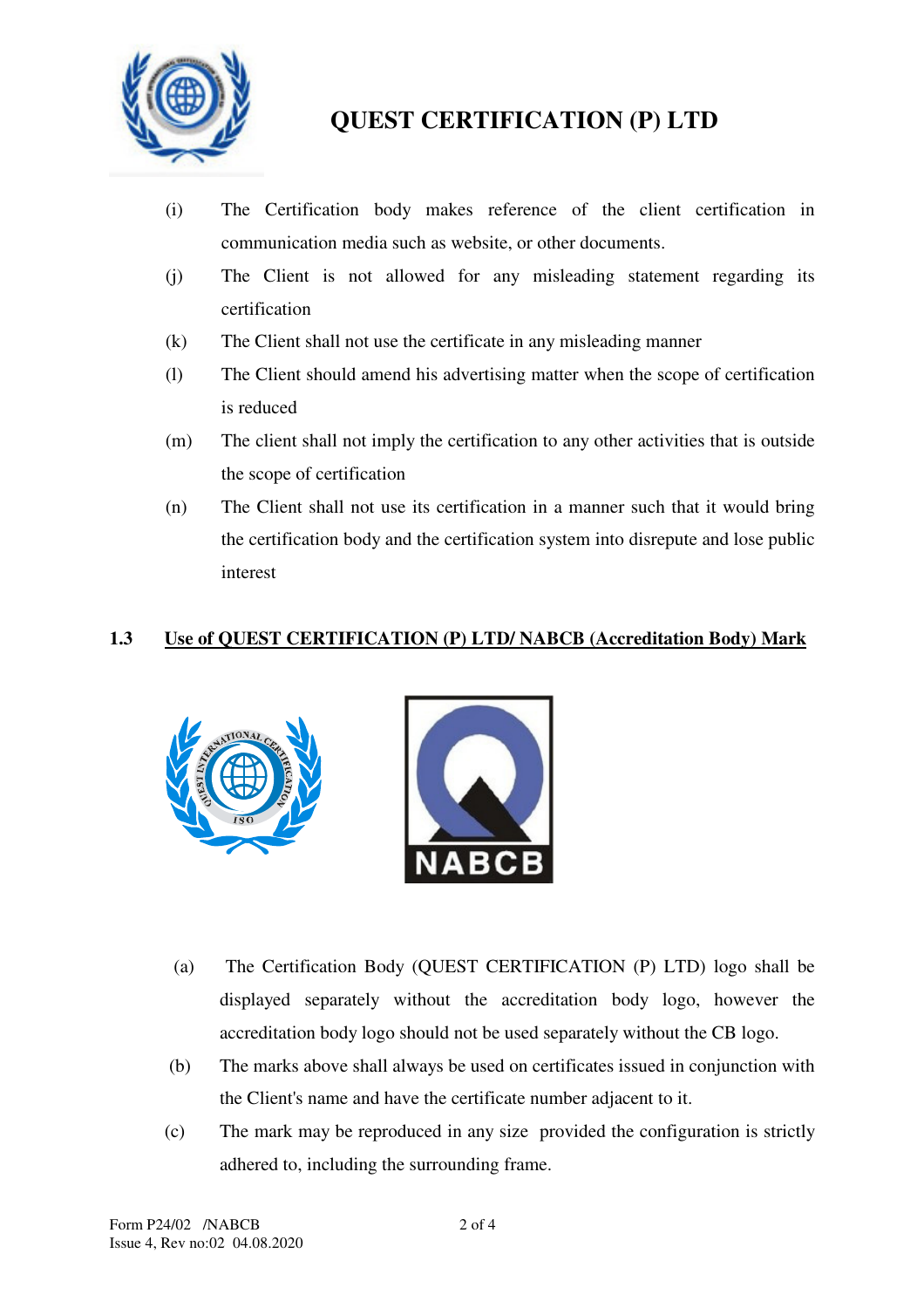

- (i) The Certification body makes reference of the client certification in communication media such as website, or other documents.
- (j) The Client is not allowed for any misleading statement regarding its certification
- (k) The Client shall not use the certificate in any misleading manner
- (l) The Client should amend his advertising matter when the scope of certification is reduced
- (m) The client shall not imply the certification to any other activities that is outside the scope of certification
- (n) The Client shall not use its certification in a manner such that it would bring the certification body and the certification system into disrepute and lose public interest

## **1.3 Use of QUEST CERTIFICATION (P) LTD/ NABCB (Accreditation Body) Mark**





- (a) The Certification Body (QUEST CERTIFICATION (P) LTD) logo shall be displayed separately without the accreditation body logo, however the accreditation body logo should not be used separately without the CB logo.
- (b) The marks above shall always be used on certificates issued in conjunction with the Client's name and have the certificate number adjacent to it.
- (c) The mark may be reproduced in any size provided the configuration is strictly adhered to, including the surrounding frame.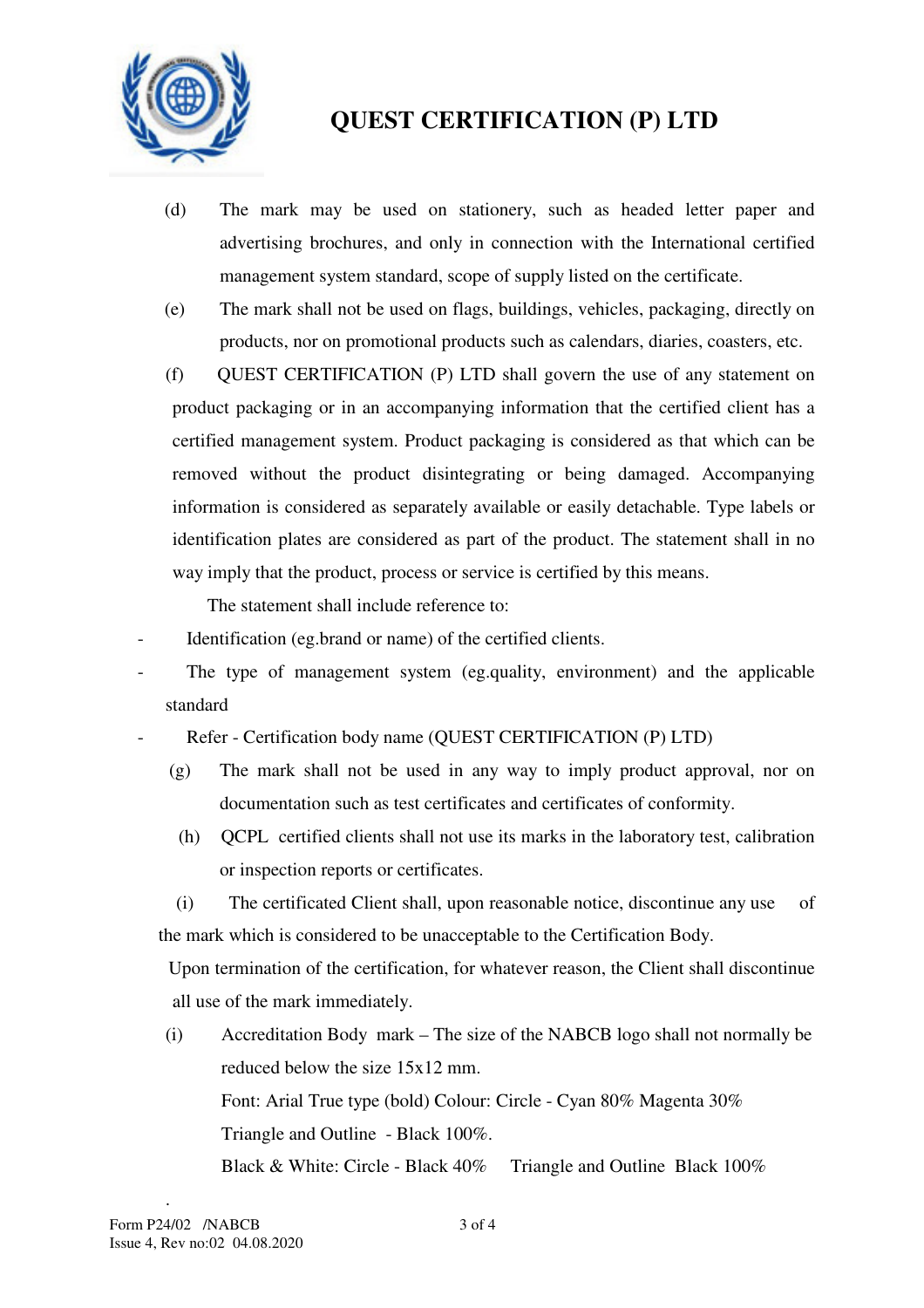

- (d) The mark may be used on stationery, such as headed letter paper and advertising brochures, and only in connection with the International certified management system standard, scope of supply listed on the certificate.
- (e) The mark shall not be used on flags, buildings, vehicles, packaging, directly on products, nor on promotional products such as calendars, diaries, coasters, etc.
- (f) QUEST CERTIFICATION (P) LTD shall govern the use of any statement on product packaging or in an accompanying information that the certified client has a certified management system. Product packaging is considered as that which can be removed without the product disintegrating or being damaged. Accompanying information is considered as separately available or easily detachable. Type labels or identification plates are considered as part of the product. The statement shall in no way imply that the product, process or service is certified by this means.

The statement shall include reference to:

- Identification (eg.brand or name) of the certified clients.
- The type of management system (eg.quality, environment) and the applicable standard
- Refer Certification body name (QUEST CERTIFICATION (P) LTD)
	- (g) The mark shall not be used in any way to imply product approval, nor on documentation such as test certificates and certificates of conformity.
	- (h) QCPL certified clients shall not use its marks in the laboratory test, calibration or inspection reports or certificates.
	- (i) The certificated Client shall, upon reasonable notice, discontinue any use of the mark which is considered to be unacceptable to the Certification Body.

 Upon termination of the certification, for whatever reason, the Client shall discontinue all use of the mark immediately.

(i) Accreditation Body mark – The size of the NABCB logo shall not normally be reduced below the size 15x12 mm. Font: Arial True type (bold) Colour: Circle - Cyan 80% Magenta 30% Triangle and Outline - Black 100%. Black & White: Circle - Black 40% Triangle and Outline Black 100%

.